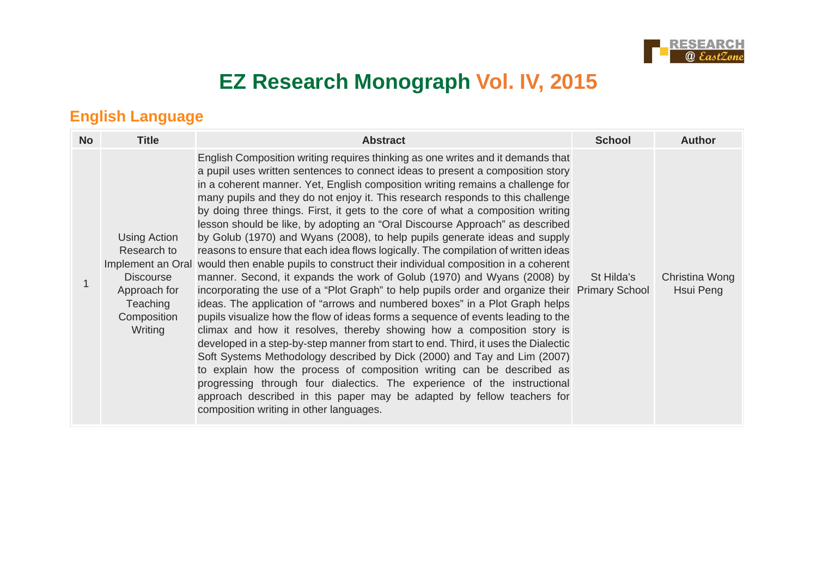

# **EZ Research Monograph Vol. IV, 2015**

### **English Language**

| <b>No</b> | <b>Title</b>                                                                                          | <b>Abstract</b>                                                                                                                                                                                                                                                                                                                                                                                                                                                                                                                                                                                                                                                                                                                                                                                                                                                                                                                                                                                                                                                                                                                                                                                                                                                                                                                                                                                                                                                                                                                                                                                                                                          | <b>School</b> | <b>Author</b>               |
|-----------|-------------------------------------------------------------------------------------------------------|----------------------------------------------------------------------------------------------------------------------------------------------------------------------------------------------------------------------------------------------------------------------------------------------------------------------------------------------------------------------------------------------------------------------------------------------------------------------------------------------------------------------------------------------------------------------------------------------------------------------------------------------------------------------------------------------------------------------------------------------------------------------------------------------------------------------------------------------------------------------------------------------------------------------------------------------------------------------------------------------------------------------------------------------------------------------------------------------------------------------------------------------------------------------------------------------------------------------------------------------------------------------------------------------------------------------------------------------------------------------------------------------------------------------------------------------------------------------------------------------------------------------------------------------------------------------------------------------------------------------------------------------------------|---------------|-----------------------------|
|           | Using Action<br>Research to<br><b>Discourse</b><br>Approach for<br>Teaching<br>Composition<br>Writing | English Composition writing requires thinking as one writes and it demands that<br>a pupil uses written sentences to connect ideas to present a composition story<br>in a coherent manner. Yet, English composition writing remains a challenge for<br>many pupils and they do not enjoy it. This research responds to this challenge<br>by doing three things. First, it gets to the core of what a composition writing<br>lesson should be like, by adopting an "Oral Discourse Approach" as described<br>by Golub (1970) and Wyans (2008), to help pupils generate ideas and supply<br>reasons to ensure that each idea flows logically. The compilation of written ideas<br>Implement an Oral would then enable pupils to construct their individual composition in a coherent<br>manner. Second, it expands the work of Golub (1970) and Wyans (2008) by<br>incorporating the use of a "Plot Graph" to help pupils order and organize their Primary School<br>ideas. The application of "arrows and numbered boxes" in a Plot Graph helps<br>pupils visualize how the flow of ideas forms a sequence of events leading to the<br>climax and how it resolves, thereby showing how a composition story is<br>developed in a step-by-step manner from start to end. Third, it uses the Dialectic<br>Soft Systems Methodology described by Dick (2000) and Tay and Lim (2007)<br>to explain how the process of composition writing can be described as<br>progressing through four dialectics. The experience of the instructional<br>approach described in this paper may be adapted by fellow teachers for<br>composition writing in other languages. | St Hilda's    | Christina Wong<br>Hsui Peng |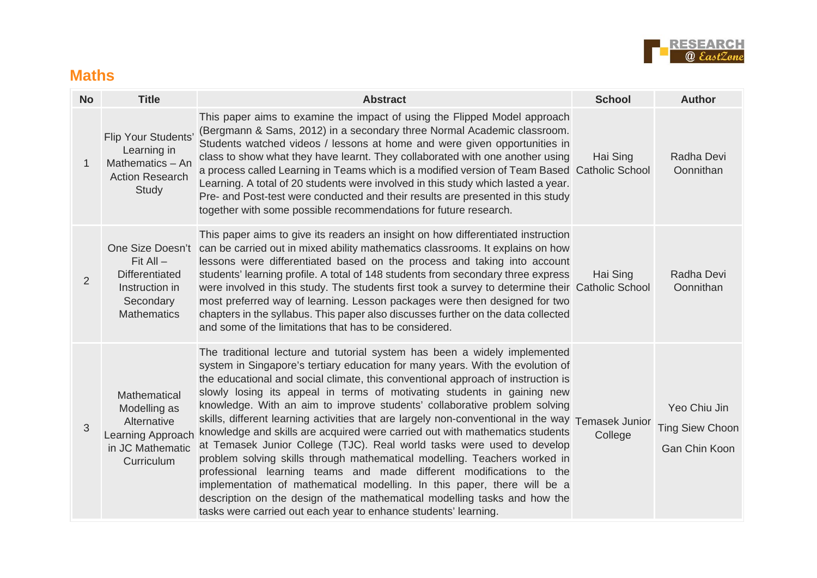

#### **Maths**

| <b>No</b>      | <b>Title</b>                                                                                            | <b>Abstract</b>                                                                                                                                                                                                                                                                                                                                                                                                                                                                                                                                                                                                                                                                                                                                                                                                                                                                                                                                                                                                                         | <b>School</b>             | <b>Author</b>                                           |
|----------------|---------------------------------------------------------------------------------------------------------|-----------------------------------------------------------------------------------------------------------------------------------------------------------------------------------------------------------------------------------------------------------------------------------------------------------------------------------------------------------------------------------------------------------------------------------------------------------------------------------------------------------------------------------------------------------------------------------------------------------------------------------------------------------------------------------------------------------------------------------------------------------------------------------------------------------------------------------------------------------------------------------------------------------------------------------------------------------------------------------------------------------------------------------------|---------------------------|---------------------------------------------------------|
| $\mathbf{1}$   | <b>Flip Your Students'</b><br>Learning in<br>Mathematics - An<br><b>Action Research</b><br><b>Study</b> | This paper aims to examine the impact of using the Flipped Model approach<br>(Bergmann & Sams, 2012) in a secondary three Normal Academic classroom.<br>Students watched videos / lessons at home and were given opportunities in<br>class to show what they have learnt. They collaborated with one another using<br>a process called Learning in Teams which is a modified version of Team Based Catholic School<br>Learning. A total of 20 students were involved in this study which lasted a year.<br>Pre- and Post-test were conducted and their results are presented in this study<br>together with some possible recommendations for future research.                                                                                                                                                                                                                                                                                                                                                                          | Hai Sing                  | Radha Devi<br>Oonnithan                                 |
| $\overline{2}$ | $Fit All -$<br><b>Differentiated</b><br>Instruction in<br>Secondary<br><b>Mathematics</b>               | This paper aims to give its readers an insight on how differentiated instruction<br>One Size Doesn't can be carried out in mixed ability mathematics classrooms. It explains on how<br>lessons were differentiated based on the process and taking into account<br>students' learning profile. A total of 148 students from secondary three express<br>were involved in this study. The students first took a survey to determine their Catholic School<br>most preferred way of learning. Lesson packages were then designed for two<br>chapters in the syllabus. This paper also discusses further on the data collected<br>and some of the limitations that has to be considered.                                                                                                                                                                                                                                                                                                                                                    | Hai Sing                  | Radha Devi<br>Oonnithan                                 |
| 3              | Mathematical<br>Modelling as<br>Alternative<br>Learning Approach<br>in JC Mathematic<br>Curriculum      | The traditional lecture and tutorial system has been a widely implemented<br>system in Singapore's tertiary education for many years. With the evolution of<br>the educational and social climate, this conventional approach of instruction is<br>slowly losing its appeal in terms of motivating students in gaining new<br>knowledge. With an aim to improve students' collaborative problem solving<br>skills, different learning activities that are largely non-conventional in the way<br>knowledge and skills are acquired were carried out with mathematics students<br>at Temasek Junior College (TJC). Real world tasks were used to develop<br>problem solving skills through mathematical modelling. Teachers worked in<br>professional learning teams and made different modifications to the<br>implementation of mathematical modelling. In this paper, there will be a<br>description on the design of the mathematical modelling tasks and how the<br>tasks were carried out each year to enhance students' learning. | Temasek Junior<br>College | Yeo Chiu Jin<br><b>Ting Siew Choon</b><br>Gan Chin Koon |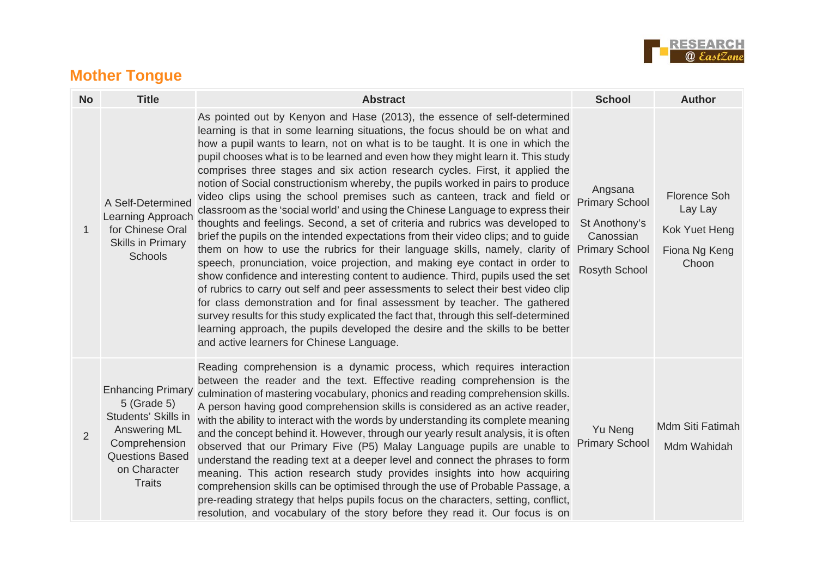

## **Mother Tongue**

| <b>No</b> | <b>Title</b>                                                                                                                                                      | <b>Abstract</b>                                                                                                                                                                                                                                                                                                                                                                                                                                                                                                                                                                                                                                                                                                                                                                                                                                                                                                                                                                                                                                                                                                                                                                                                                                                                                                                                                                                                                                                                       | <b>School</b>                                                                                                   | <b>Author</b>                                                             |
|-----------|-------------------------------------------------------------------------------------------------------------------------------------------------------------------|---------------------------------------------------------------------------------------------------------------------------------------------------------------------------------------------------------------------------------------------------------------------------------------------------------------------------------------------------------------------------------------------------------------------------------------------------------------------------------------------------------------------------------------------------------------------------------------------------------------------------------------------------------------------------------------------------------------------------------------------------------------------------------------------------------------------------------------------------------------------------------------------------------------------------------------------------------------------------------------------------------------------------------------------------------------------------------------------------------------------------------------------------------------------------------------------------------------------------------------------------------------------------------------------------------------------------------------------------------------------------------------------------------------------------------------------------------------------------------------|-----------------------------------------------------------------------------------------------------------------|---------------------------------------------------------------------------|
| 1         | A Self-Determined<br>Learning Approach<br>for Chinese Oral<br><b>Skills in Primary</b><br><b>Schools</b>                                                          | As pointed out by Kenyon and Hase (2013), the essence of self-determined<br>learning is that in some learning situations, the focus should be on what and<br>how a pupil wants to learn, not on what is to be taught. It is one in which the<br>pupil chooses what is to be learned and even how they might learn it. This study<br>comprises three stages and six action research cycles. First, it applied the<br>notion of Social constructionism whereby, the pupils worked in pairs to produce<br>video clips using the school premises such as canteen, track and field or<br>classroom as the 'social world' and using the Chinese Language to express their<br>thoughts and feelings. Second, a set of criteria and rubrics was developed to<br>brief the pupils on the intended expectations from their video clips; and to quide<br>them on how to use the rubrics for their language skills, namely, clarity of<br>speech, pronunciation, voice projection, and making eye contact in order to<br>show confidence and interesting content to audience. Third, pupils used the set<br>of rubrics to carry out self and peer assessments to select their best video clip<br>for class demonstration and for final assessment by teacher. The gathered<br>survey results for this study explicated the fact that, through this self-determined<br>learning approach, the pupils developed the desire and the skills to be better<br>and active learners for Chinese Language. | Angsana<br><b>Primary School</b><br>St Anothony's<br>Canossian<br><b>Primary School</b><br><b>Rosyth School</b> | <b>Florence Soh</b><br>Lay Lay<br>Kok Yuet Heng<br>Fiona Ng Keng<br>Choon |
| 2         | <b>Enhancing Primary</b><br>5 (Grade 5)<br>Students' Skills in<br><b>Answering ML</b><br>Comprehension<br><b>Questions Based</b><br>on Character<br><b>Traits</b> | Reading comprehension is a dynamic process, which requires interaction<br>between the reader and the text. Effective reading comprehension is the<br>culmination of mastering vocabulary, phonics and reading comprehension skills.<br>A person having good comprehension skills is considered as an active reader,<br>with the ability to interact with the words by understanding its complete meaning<br>and the concept behind it. However, through our yearly result analysis, it is often<br>observed that our Primary Five (P5) Malay Language pupils are unable to<br>understand the reading text at a deeper level and connect the phrases to form<br>meaning. This action research study provides insights into how acquiring<br>comprehension skills can be optimised through the use of Probable Passage, a<br>pre-reading strategy that helps pupils focus on the characters, setting, conflict,<br>resolution, and vocabulary of the story before they read it. Our focus is on                                                                                                                                                                                                                                                                                                                                                                                                                                                                                         | Yu Neng<br><b>Primary School</b>                                                                                | Mdm Siti Fatimah<br>Mdm Wahidah                                           |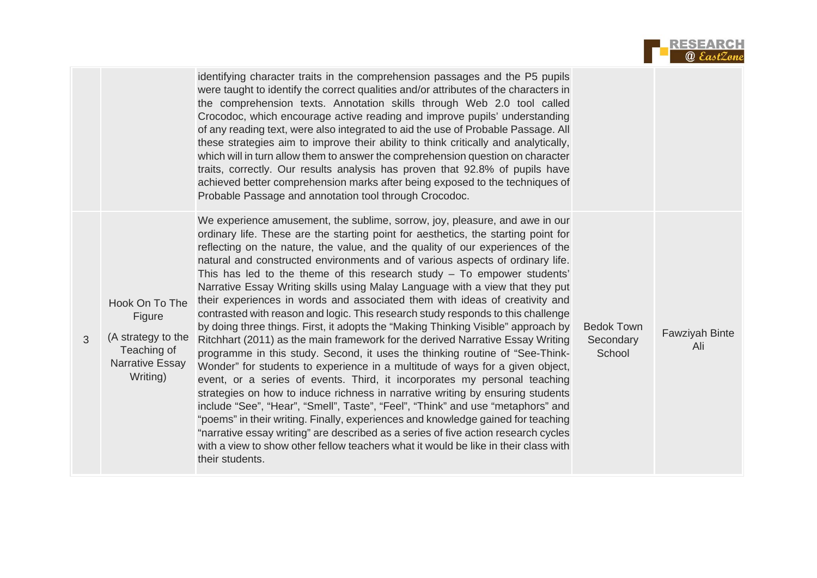|  | <b>RESEARCH</b>   |
|--|-------------------|
|  | <b>@</b> EastZone |

|                                                                                                     | identifying character traits in the comprehension passages and the P5 pupils<br>were taught to identify the correct qualities and/or attributes of the characters in<br>the comprehension texts. Annotation skills through Web 2.0 tool called<br>Crocodoc, which encourage active reading and improve pupils' understanding<br>of any reading text, were also integrated to aid the use of Probable Passage. All<br>these strategies aim to improve their ability to think critically and analytically,<br>which will in turn allow them to answer the comprehension question on character<br>traits, correctly. Our results analysis has proven that 92.8% of pupils have<br>achieved better comprehension marks after being exposed to the techniques of<br>Probable Passage and annotation tool through Crocodoc.                                                                                                                                                                                                                                                                                                                                                                                                                                                                                                                                                                                                                                                                                                                               |                                          |                       |
|-----------------------------------------------------------------------------------------------------|-----------------------------------------------------------------------------------------------------------------------------------------------------------------------------------------------------------------------------------------------------------------------------------------------------------------------------------------------------------------------------------------------------------------------------------------------------------------------------------------------------------------------------------------------------------------------------------------------------------------------------------------------------------------------------------------------------------------------------------------------------------------------------------------------------------------------------------------------------------------------------------------------------------------------------------------------------------------------------------------------------------------------------------------------------------------------------------------------------------------------------------------------------------------------------------------------------------------------------------------------------------------------------------------------------------------------------------------------------------------------------------------------------------------------------------------------------------------------------------------------------------------------------------------------------|------------------------------------------|-----------------------|
| Hook On To The<br>Figure<br>(A strategy to the<br>Teaching of<br><b>Narrative Essay</b><br>Writing) | We experience amusement, the sublime, sorrow, joy, pleasure, and awe in our<br>ordinary life. These are the starting point for aesthetics, the starting point for<br>reflecting on the nature, the value, and the quality of our experiences of the<br>natural and constructed environments and of various aspects of ordinary life.<br>This has led to the theme of this research study $-$ To empower students'<br>Narrative Essay Writing skills using Malay Language with a view that they put<br>their experiences in words and associated them with ideas of creativity and<br>contrasted with reason and logic. This research study responds to this challenge<br>by doing three things. First, it adopts the "Making Thinking Visible" approach by<br>Ritchhart (2011) as the main framework for the derived Narrative Essay Writing<br>programme in this study. Second, it uses the thinking routine of "See-Think-<br>Wonder" for students to experience in a multitude of ways for a given object,<br>event, or a series of events. Third, it incorporates my personal teaching<br>strategies on how to induce richness in narrative writing by ensuring students<br>include "See", "Hear", "Smell", Taste", "Feel", "Think" and use "metaphors" and<br>"poems" in their writing. Finally, experiences and knowledge gained for teaching<br>"narrative essay writing" are described as a series of five action research cycles<br>with a view to show other fellow teachers what it would be like in their class with<br>their students. | <b>Bedok Town</b><br>Secondary<br>School | Fawziyah Binte<br>Ali |

3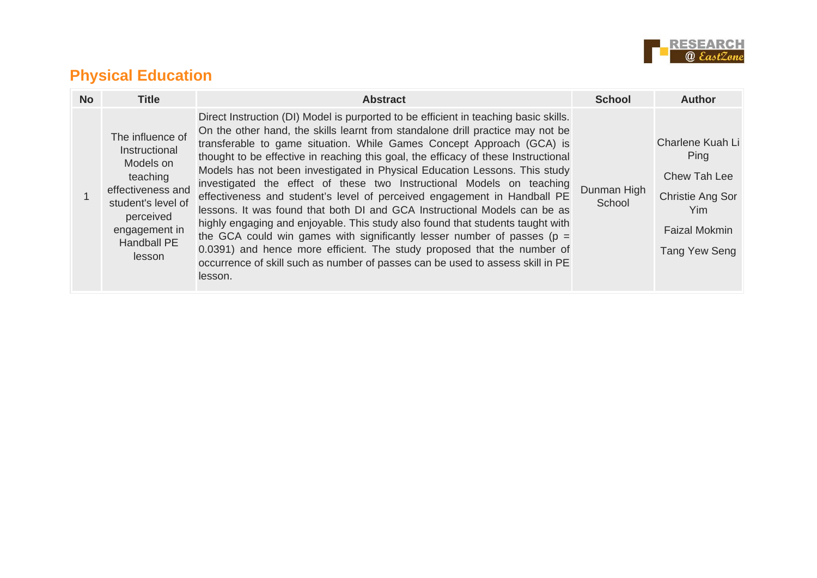

### **Physical Education**

| <b>No</b> | <b>Title</b>                                                                                                                                                 | <b>Abstract</b>                                                                                                                                                                                                                                                                                                                                                                                                                                                                                                                                                                                                                                                                                                                                                                                                                                                                                                                                                                               | <b>School</b>         | <b>Author</b>                                                                                                |
|-----------|--------------------------------------------------------------------------------------------------------------------------------------------------------------|-----------------------------------------------------------------------------------------------------------------------------------------------------------------------------------------------------------------------------------------------------------------------------------------------------------------------------------------------------------------------------------------------------------------------------------------------------------------------------------------------------------------------------------------------------------------------------------------------------------------------------------------------------------------------------------------------------------------------------------------------------------------------------------------------------------------------------------------------------------------------------------------------------------------------------------------------------------------------------------------------|-----------------------|--------------------------------------------------------------------------------------------------------------|
|           | The influence of<br>Instructional<br>Models on<br>teaching<br>effectiveness and<br>student's level of<br>perceived<br>engagement in<br>Handball PE<br>lesson | Direct Instruction (DI) Model is purported to be efficient in teaching basic skills.<br>On the other hand, the skills learnt from standalone drill practice may not be<br>transferable to game situation. While Games Concept Approach (GCA) is<br>thought to be effective in reaching this goal, the efficacy of these Instructional<br>Models has not been investigated in Physical Education Lessons. This study<br>investigated the effect of these two Instructional Models on teaching<br>effectiveness and student's level of perceived engagement in Handball PE<br>lessons. It was found that both DI and GCA Instructional Models can be as<br>highly engaging and enjoyable. This study also found that students taught with<br>the GCA could win games with significantly lesser number of passes ( $p =$<br>0.0391) and hence more efficient. The study proposed that the number of<br>occurrence of skill such as number of passes can be used to assess skill in PE<br>lesson. | Dunman High<br>School | Charlene Kuah Li<br>Ping<br>Chew Tah Lee<br>Christie Ang Sor<br>Yim<br><b>Faizal Mokmin</b><br>Tang Yew Seng |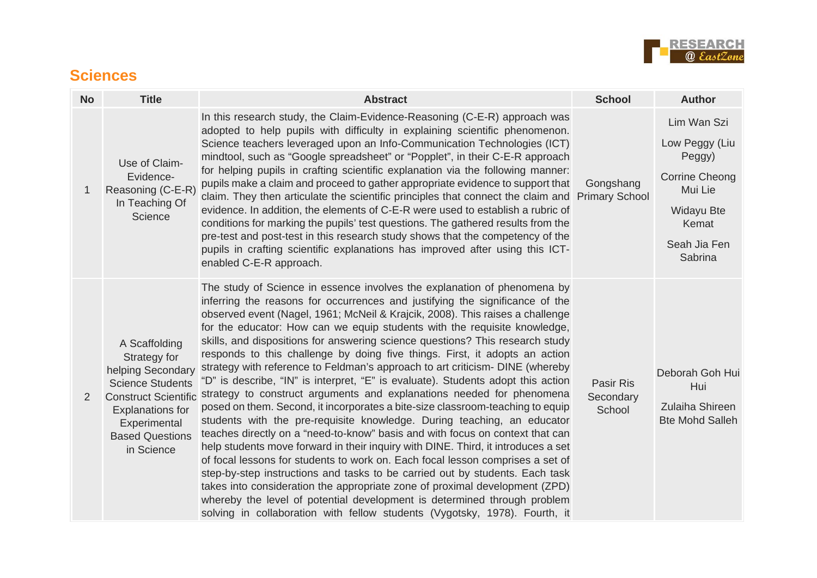

#### **Sciences**

| <b>No</b>      | <b>Title</b>                                                                                                                                                                                    | <b>Abstract</b>                                                                                                                                                                                                                                                                                                                                                                                                                                                                                                                                                                                                                                                                                                                                                                                                                                                                                                                                                                                                                                                                                                                                                                                                                                                                                                                                                                                                                                                                    | <b>School</b>                           | <b>Author</b>                                                                                                                        |
|----------------|-------------------------------------------------------------------------------------------------------------------------------------------------------------------------------------------------|------------------------------------------------------------------------------------------------------------------------------------------------------------------------------------------------------------------------------------------------------------------------------------------------------------------------------------------------------------------------------------------------------------------------------------------------------------------------------------------------------------------------------------------------------------------------------------------------------------------------------------------------------------------------------------------------------------------------------------------------------------------------------------------------------------------------------------------------------------------------------------------------------------------------------------------------------------------------------------------------------------------------------------------------------------------------------------------------------------------------------------------------------------------------------------------------------------------------------------------------------------------------------------------------------------------------------------------------------------------------------------------------------------------------------------------------------------------------------------|-----------------------------------------|--------------------------------------------------------------------------------------------------------------------------------------|
| 1              | Use of Claim-<br>Evidence-<br>Reasoning (C-E-R)<br>In Teaching Of<br>Science                                                                                                                    | In this research study, the Claim-Evidence-Reasoning (C-E-R) approach was<br>adopted to help pupils with difficulty in explaining scientific phenomenon.<br>Science teachers leveraged upon an Info-Communication Technologies (ICT)<br>mindtool, such as "Google spreadsheet" or "Popplet", in their C-E-R approach<br>for helping pupils in crafting scientific explanation via the following manner:<br>pupils make a claim and proceed to gather appropriate evidence to support that<br>claim. They then articulate the scientific principles that connect the claim and<br>evidence. In addition, the elements of C-E-R were used to establish a rubric of<br>conditions for marking the pupils' test questions. The gathered results from the<br>pre-test and post-test in this research study shows that the competency of the<br>pupils in crafting scientific explanations has improved after using this ICT-<br>enabled C-E-R approach.                                                                                                                                                                                                                                                                                                                                                                                                                                                                                                                                 | Gongshang<br><b>Primary School</b>      | Lim Wan Szi<br>Low Peggy (Liu<br>Peggy)<br><b>Corrine Cheong</b><br>Mui Lie<br><b>Widayu Bte</b><br>Kemat<br>Seah Jia Fen<br>Sabrina |
| $\overline{2}$ | A Scaffolding<br>Strategy for<br>helping Secondary<br><b>Science Students</b><br><b>Construct Scientific</b><br><b>Explanations for</b><br>Experimental<br><b>Based Questions</b><br>in Science | The study of Science in essence involves the explanation of phenomena by<br>inferring the reasons for occurrences and justifying the significance of the<br>observed event (Nagel, 1961; McNeil & Krajcik, 2008). This raises a challenge<br>for the educator: How can we equip students with the requisite knowledge,<br>skills, and dispositions for answering science questions? This research study<br>responds to this challenge by doing five things. First, it adopts an action<br>strategy with reference to Feldman's approach to art criticism- DINE (whereby<br>"D" is describe, "IN" is interpret, "E" is evaluate). Students adopt this action<br>strategy to construct arguments and explanations needed for phenomena<br>posed on them. Second, it incorporates a bite-size classroom-teaching to equip<br>students with the pre-requisite knowledge. During teaching, an educator<br>teaches directly on a "need-to-know" basis and with focus on context that can<br>help students move forward in their inquiry with DINE. Third, it introduces a set<br>of focal lessons for students to work on. Each focal lesson comprises a set of<br>step-by-step instructions and tasks to be carried out by students. Each task<br>takes into consideration the appropriate zone of proximal development (ZPD)<br>whereby the level of potential development is determined through problem<br>solving in collaboration with fellow students (Vygotsky, 1978). Fourth, it | <b>Pasir Ris</b><br>Secondary<br>School | Deborah Goh Hui<br>Hui<br>Zulaiha Shireen<br><b>Bte Mohd Salleh</b>                                                                  |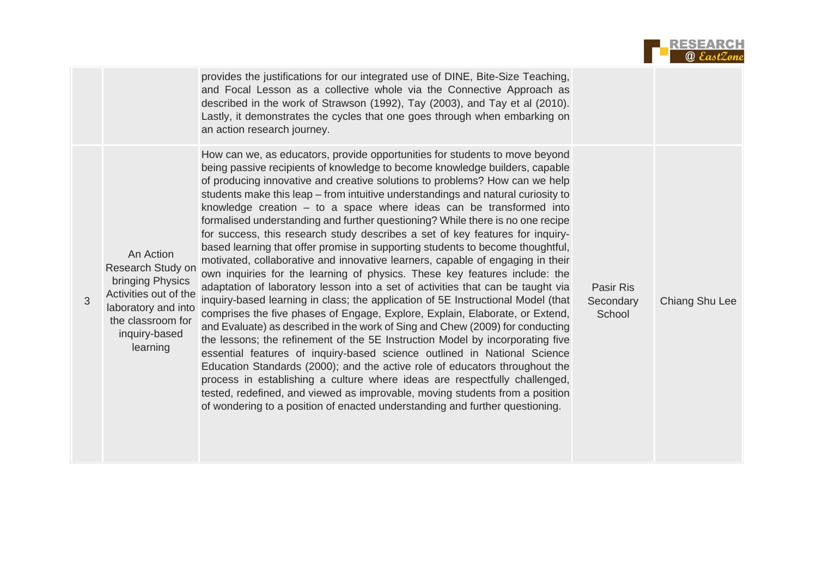|  | <b>RESEARCH</b>   |
|--|-------------------|
|  | <b>@</b> EastZone |

|                                                                                                                                                      | provides the justifications for our integrated use of DINE, Bite-Size Teaching,<br>and Focal Lesson as a collective whole via the Connective Approach as<br>described in the work of Strawson (1992), Tay (2003), and Tay et al (2010).<br>Lastly, it demonstrates the cycles that one goes through when embarking on<br>an action research journey.                                                                                                                                                                                                                                                                                                                                                                                                                                                                                                                                                                                                                                                                                                                                                                                                                                                                                                                                                                                                                                                                                                                                                                                                                                                                                                          |                                         |                |
|------------------------------------------------------------------------------------------------------------------------------------------------------|---------------------------------------------------------------------------------------------------------------------------------------------------------------------------------------------------------------------------------------------------------------------------------------------------------------------------------------------------------------------------------------------------------------------------------------------------------------------------------------------------------------------------------------------------------------------------------------------------------------------------------------------------------------------------------------------------------------------------------------------------------------------------------------------------------------------------------------------------------------------------------------------------------------------------------------------------------------------------------------------------------------------------------------------------------------------------------------------------------------------------------------------------------------------------------------------------------------------------------------------------------------------------------------------------------------------------------------------------------------------------------------------------------------------------------------------------------------------------------------------------------------------------------------------------------------------------------------------------------------------------------------------------------------|-----------------------------------------|----------------|
| An Action<br>Research Study on<br>bringing Physics<br>Activities out of the<br>laboratory and into<br>the classroom for<br>inquiry-based<br>learning | How can we, as educators, provide opportunities for students to move beyond<br>being passive recipients of knowledge to become knowledge builders, capable<br>of producing innovative and creative solutions to problems? How can we help<br>students make this leap – from intuitive understandings and natural curiosity to<br>knowledge creation $-$ to a space where ideas can be transformed into<br>formalised understanding and further questioning? While there is no one recipe<br>for success, this research study describes a set of key features for inquiry-<br>based learning that offer promise in supporting students to become thoughtful,<br>motivated, collaborative and innovative learners, capable of engaging in their<br>own inquiries for the learning of physics. These key features include: the<br>adaptation of laboratory lesson into a set of activities that can be taught via<br>inquiry-based learning in class; the application of 5E Instructional Model (that<br>comprises the five phases of Engage, Explore, Explain, Elaborate, or Extend,<br>and Evaluate) as described in the work of Sing and Chew (2009) for conducting<br>the lessons; the refinement of the 5E Instruction Model by incorporating five<br>essential features of inquiry-based science outlined in National Science<br>Education Standards (2000); and the active role of educators throughout the<br>process in establishing a culture where ideas are respectfully challenged,<br>tested, redefined, and viewed as improvable, moving students from a position<br>of wondering to a position of enacted understanding and further questioning. | <b>Pasir Ris</b><br>Secondary<br>School | Chiang Shu Lee |

3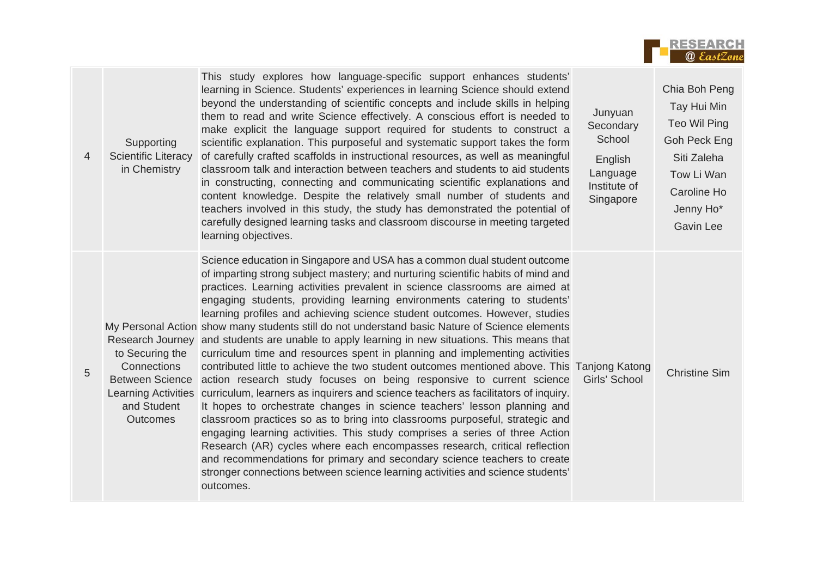

| $\overline{4}$ | Supporting<br><b>Scientific Literacy</b><br>in Chemistry                                   | This study explores how language-specific support enhances students'<br>learning in Science. Students' experiences in learning Science should extend<br>beyond the understanding of scientific concepts and include skills in helping<br>them to read and write Science effectively. A conscious effort is needed to<br>make explicit the language support required for students to construct a<br>scientific explanation. This purposeful and systematic support takes the form<br>of carefully crafted scaffolds in instructional resources, as well as meaningful<br>classroom talk and interaction between teachers and students to aid students<br>in constructing, connecting and communicating scientific explanations and<br>content knowledge. Despite the relatively small number of students and<br>teachers involved in this study, the study has demonstrated the potential of<br>carefully designed learning tasks and classroom discourse in meeting targeted<br>learning objectives.                                                                                                                                                                                                                                                                                                                                                                                                                                                                        | Junyuan<br>Secondary<br>School<br>English<br>Language<br>Institute of<br>Singapore | Chia Boh Peng<br>Tay Hui Min<br>Teo Wil Ping<br>Goh Peck Eng<br>Siti Zaleha<br>Tow Li Wan<br>Caroline Ho<br>Jenny Ho*<br><b>Gavin Lee</b> |
|----------------|--------------------------------------------------------------------------------------------|-----------------------------------------------------------------------------------------------------------------------------------------------------------------------------------------------------------------------------------------------------------------------------------------------------------------------------------------------------------------------------------------------------------------------------------------------------------------------------------------------------------------------------------------------------------------------------------------------------------------------------------------------------------------------------------------------------------------------------------------------------------------------------------------------------------------------------------------------------------------------------------------------------------------------------------------------------------------------------------------------------------------------------------------------------------------------------------------------------------------------------------------------------------------------------------------------------------------------------------------------------------------------------------------------------------------------------------------------------------------------------------------------------------------------------------------------------------------------------|------------------------------------------------------------------------------------|-------------------------------------------------------------------------------------------------------------------------------------------|
| 5              | to Securing the<br>Connections<br><b>Between Science</b><br>and Student<br><b>Outcomes</b> | Science education in Singapore and USA has a common dual student outcome<br>of imparting strong subject mastery; and nurturing scientific habits of mind and<br>practices. Learning activities prevalent in science classrooms are aimed at<br>engaging students, providing learning environments catering to students'<br>learning profiles and achieving science student outcomes. However, studies<br>My Personal Action show many students still do not understand basic Nature of Science elements<br>Research Journey and students are unable to apply learning in new situations. This means that<br>curriculum time and resources spent in planning and implementing activities<br>contributed little to achieve the two student outcomes mentioned above. This Tanjong Katong<br>action research study focuses on being responsive to current science<br>Learning Activities curriculum, learners as inquirers and science teachers as facilitators of inquiry.<br>It hopes to orchestrate changes in science teachers' lesson planning and<br>classroom practices so as to bring into classrooms purposeful, strategic and<br>engaging learning activities. This study comprises a series of three Action<br>Research (AR) cycles where each encompasses research, critical reflection<br>and recommendations for primary and secondary science teachers to create<br>stronger connections between science learning activities and science students'<br>outcomes. | Girls' School                                                                      | <b>Christine Sim</b>                                                                                                                      |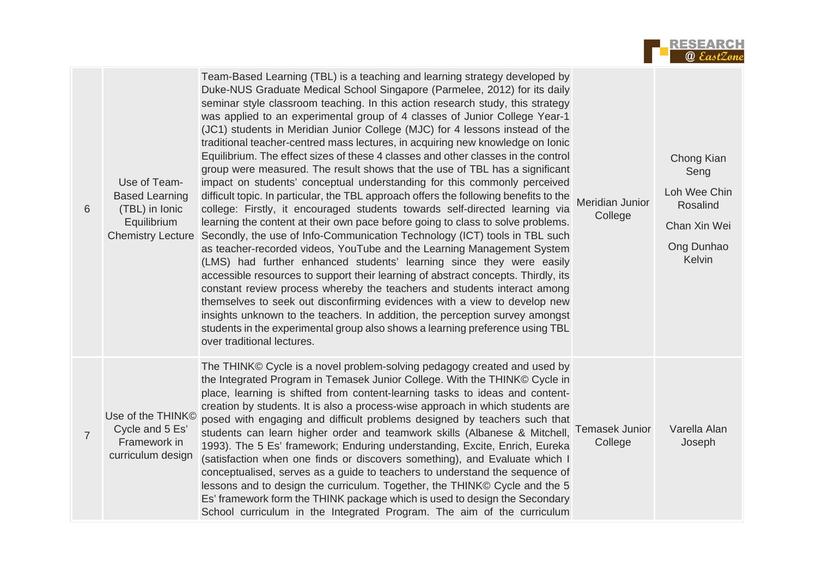

| 6              | Use of Team-<br><b>Based Learning</b><br>(TBL) in Ionic<br>Equilibrium<br><b>Chemistry Lecture</b> | Team-Based Learning (TBL) is a teaching and learning strategy developed by<br>Duke-NUS Graduate Medical School Singapore (Parmelee, 2012) for its daily<br>seminar style classroom teaching. In this action research study, this strategy<br>was applied to an experimental group of 4 classes of Junior College Year-1<br>(JC1) students in Meridian Junior College (MJC) for 4 lessons instead of the<br>traditional teacher-centred mass lectures, in acquiring new knowledge on lonic<br>Equilibrium. The effect sizes of these 4 classes and other classes in the control<br>group were measured. The result shows that the use of TBL has a significant<br>impact on students' conceptual understanding for this commonly perceived<br>difficult topic. In particular, the TBL approach offers the following benefits to the<br>college: Firstly, it encouraged students towards self-directed learning via<br>learning the content at their own pace before going to class to solve problems.<br>Secondly, the use of Info-Communication Technology (ICT) tools in TBL such<br>as teacher-recorded videos, YouTube and the Learning Management System<br>(LMS) had further enhanced students' learning since they were easily<br>accessible resources to support their learning of abstract concepts. Thirdly, its<br>constant review process whereby the teachers and students interact among<br>themselves to seek out disconfirming evidences with a view to develop new<br>insights unknown to the teachers. In addition, the perception survey amongst<br>students in the experimental group also shows a learning preference using TBL<br>over traditional lectures. | Meridian Junior<br>College       | Chong Kian<br>Seng<br>Loh Wee Chin<br>Rosalind<br>Chan Xin Wei<br>Ong Dunhao<br>Kelvin |
|----------------|----------------------------------------------------------------------------------------------------|-----------------------------------------------------------------------------------------------------------------------------------------------------------------------------------------------------------------------------------------------------------------------------------------------------------------------------------------------------------------------------------------------------------------------------------------------------------------------------------------------------------------------------------------------------------------------------------------------------------------------------------------------------------------------------------------------------------------------------------------------------------------------------------------------------------------------------------------------------------------------------------------------------------------------------------------------------------------------------------------------------------------------------------------------------------------------------------------------------------------------------------------------------------------------------------------------------------------------------------------------------------------------------------------------------------------------------------------------------------------------------------------------------------------------------------------------------------------------------------------------------------------------------------------------------------------------------------------------------------------------------------------------------------------------------------|----------------------------------|----------------------------------------------------------------------------------------|
| $\overline{7}$ | Use of the THINK <sup>®</sup><br>Cycle and 5 Es'<br>Framework in<br>curriculum design              | The THINK© Cycle is a novel problem-solving pedagogy created and used by<br>the Integrated Program in Temasek Junior College. With the THINK© Cycle in<br>place, learning is shifted from content-learning tasks to ideas and content-<br>creation by students. It is also a process-wise approach in which students are<br>posed with engaging and difficult problems designed by teachers such that<br>students can learn higher order and teamwork skills (Albanese & Mitchell,<br>1993). The 5 Es' framework; Enduring understanding, Excite, Enrich, Eureka<br>(satisfaction when one finds or discovers something), and Evaluate which I<br>conceptualised, serves as a guide to teachers to understand the sequence of<br>lessons and to design the curriculum. Together, the THINK© Cycle and the 5<br>Es' framework form the THINK package which is used to design the Secondary<br>School curriculum in the Integrated Program. The aim of the curriculum                                                                                                                                                                                                                                                                                                                                                                                                                                                                                                                                                                                                                                                                                                               | <b>Temasek Junior</b><br>College | Varella Alan<br>Joseph                                                                 |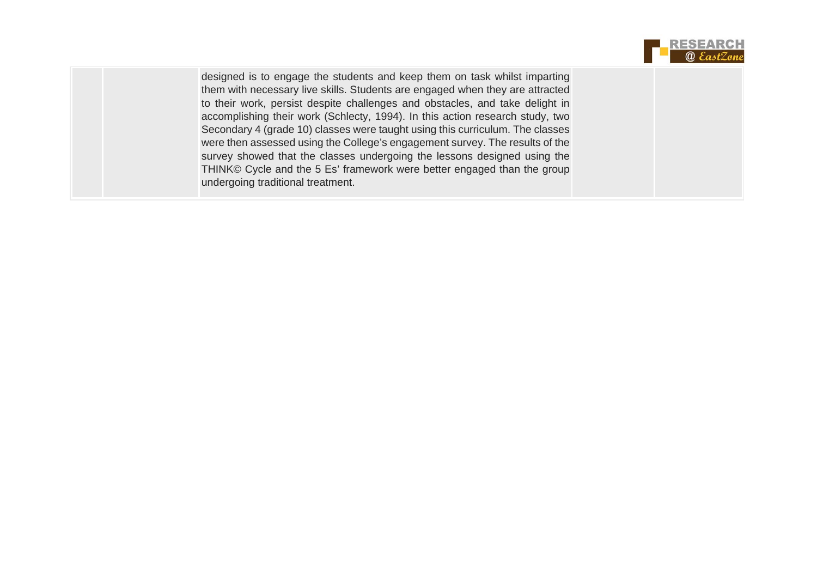

| designed is to engage the students and keep them on task whilst imparting     |  |
|-------------------------------------------------------------------------------|--|
| them with necessary live skills. Students are engaged when they are attracted |  |
| to their work, persist despite challenges and obstacles, and take delight in  |  |
| accomplishing their work (Schlecty, 1994). In this action research study, two |  |
| Secondary 4 (grade 10) classes were taught using this curriculum. The classes |  |
| were then assessed using the College's engagement survey. The results of the  |  |
| survey showed that the classes undergoing the lessons designed using the      |  |
| THINK© Cycle and the 5 Es' framework were better engaged than the group       |  |
| undergoing traditional treatment.                                             |  |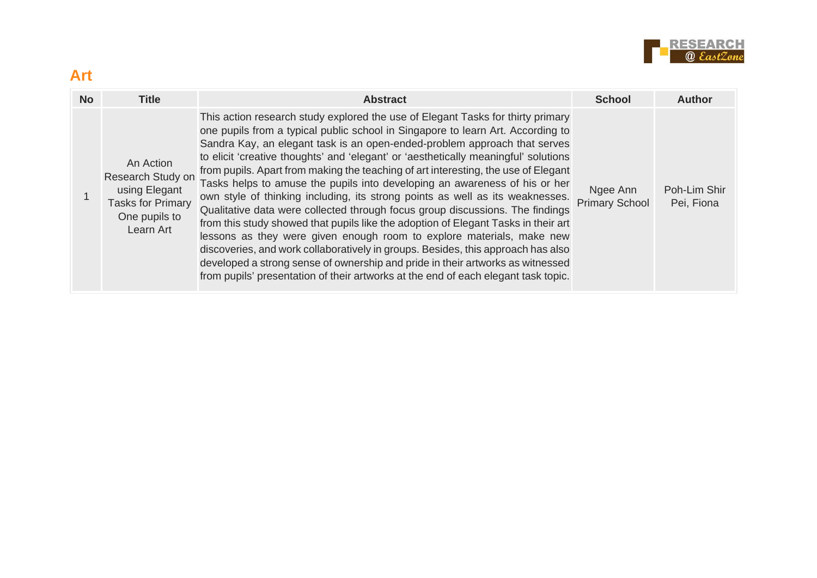

| <b>Art</b> |                                                                                                           |                                                                                                                                                                                                                                                                                                                                                                                                                                                                                                                                                                                                                                                                                                                                                                                                                                                                                                                                                                                                                                                                                                         |                                   |                            |
|------------|-----------------------------------------------------------------------------------------------------------|---------------------------------------------------------------------------------------------------------------------------------------------------------------------------------------------------------------------------------------------------------------------------------------------------------------------------------------------------------------------------------------------------------------------------------------------------------------------------------------------------------------------------------------------------------------------------------------------------------------------------------------------------------------------------------------------------------------------------------------------------------------------------------------------------------------------------------------------------------------------------------------------------------------------------------------------------------------------------------------------------------------------------------------------------------------------------------------------------------|-----------------------------------|----------------------------|
| <b>No</b>  | <b>Title</b>                                                                                              | <b>Abstract</b>                                                                                                                                                                                                                                                                                                                                                                                                                                                                                                                                                                                                                                                                                                                                                                                                                                                                                                                                                                                                                                                                                         | <b>School</b>                     | <b>Author</b>              |
|            | An Action<br>Research Study on<br>using Elegant<br><b>Tasks for Primary</b><br>One pupils to<br>Learn Art | This action research study explored the use of Elegant Tasks for thirty primary<br>one pupils from a typical public school in Singapore to learn Art. According to<br>Sandra Kay, an elegant task is an open-ended-problem approach that serves<br>to elicit 'creative thoughts' and 'elegant' or 'aesthetically meaningful' solutions<br>from pupils. Apart from making the teaching of art interesting, the use of Elegant<br>Tasks helps to amuse the pupils into developing an awareness of his or her<br>own style of thinking including, its strong points as well as its weaknesses.<br>Qualitative data were collected through focus group discussions. The findings<br>from this study showed that pupils like the adoption of Elegant Tasks in their art<br>lessons as they were given enough room to explore materials, make new<br>discoveries, and work collaboratively in groups. Besides, this approach has also<br>developed a strong sense of ownership and pride in their artworks as witnessed<br>from pupils' presentation of their artworks at the end of each elegant task topic. | Ngee Ann<br><b>Primary School</b> | Poh-Lim Shir<br>Pei, Fiona |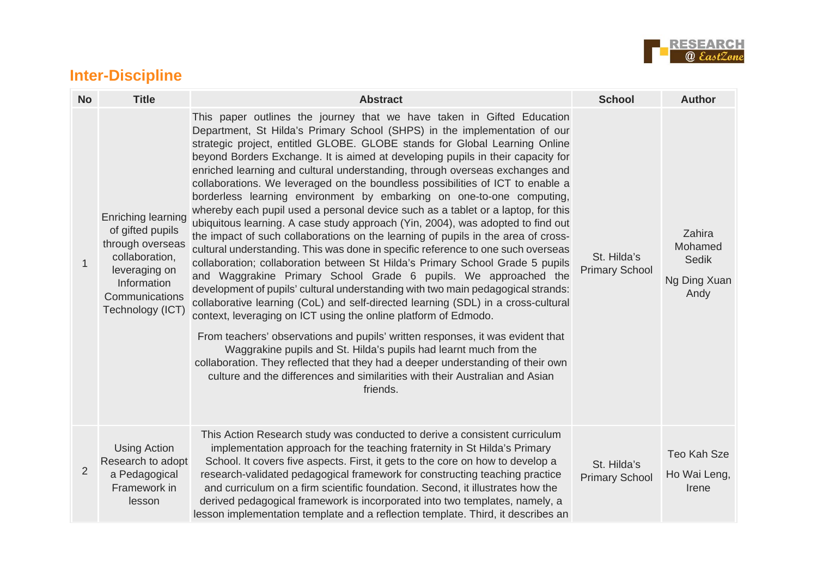

### **Inter-Discipline**

| <b>No</b> | <b>Title</b>                                                                                                                                       | <b>Abstract</b>                                                                                                                                                                                                                                                                                                                                                                                                                                                                                                                                                                                                                                                                                                                                                                                                                                                                                                                                                                                                                                                                                                                                                                                                                                                                                                                                                                                                                                                                                                                                                                                                                                       | <b>School</b>                        | <b>Author</b>                                             |
|-----------|----------------------------------------------------------------------------------------------------------------------------------------------------|-------------------------------------------------------------------------------------------------------------------------------------------------------------------------------------------------------------------------------------------------------------------------------------------------------------------------------------------------------------------------------------------------------------------------------------------------------------------------------------------------------------------------------------------------------------------------------------------------------------------------------------------------------------------------------------------------------------------------------------------------------------------------------------------------------------------------------------------------------------------------------------------------------------------------------------------------------------------------------------------------------------------------------------------------------------------------------------------------------------------------------------------------------------------------------------------------------------------------------------------------------------------------------------------------------------------------------------------------------------------------------------------------------------------------------------------------------------------------------------------------------------------------------------------------------------------------------------------------------------------------------------------------------|--------------------------------------|-----------------------------------------------------------|
| 1         | Enriching learning<br>of gifted pupils<br>through overseas<br>collaboration,<br>leveraging on<br>Information<br>Communications<br>Technology (ICT) | This paper outlines the journey that we have taken in Gifted Education<br>Department, St Hilda's Primary School (SHPS) in the implementation of our<br>strategic project, entitled GLOBE. GLOBE stands for Global Learning Online<br>beyond Borders Exchange. It is aimed at developing pupils in their capacity for<br>enriched learning and cultural understanding, through overseas exchanges and<br>collaborations. We leveraged on the boundless possibilities of ICT to enable a<br>borderless learning environment by embarking on one-to-one computing,<br>whereby each pupil used a personal device such as a tablet or a laptop, for this<br>ubiquitous learning. A case study approach (Yin, 2004), was adopted to find out<br>the impact of such collaborations on the learning of pupils in the area of cross-<br>cultural understanding. This was done in specific reference to one such overseas<br>collaboration; collaboration between St Hilda's Primary School Grade 5 pupils<br>and Waggrakine Primary School Grade 6 pupils. We approached the<br>development of pupils' cultural understanding with two main pedagogical strands:<br>collaborative learning (CoL) and self-directed learning (SDL) in a cross-cultural<br>context, leveraging on ICT using the online platform of Edmodo.<br>From teachers' observations and pupils' written responses, it was evident that<br>Waggrakine pupils and St. Hilda's pupils had learnt much from the<br>collaboration. They reflected that they had a deeper understanding of their own<br>culture and the differences and similarities with their Australian and Asian<br>friends. | St. Hilda's<br><b>Primary School</b> | Zahira<br>Mohamed<br><b>Sedik</b><br>Ng Ding Xuan<br>Andy |
| 2         | <b>Using Action</b><br>Research to adopt<br>a Pedagogical<br>Framework in<br>lesson                                                                | This Action Research study was conducted to derive a consistent curriculum<br>implementation approach for the teaching fraternity in St Hilda's Primary<br>School. It covers five aspects. First, it gets to the core on how to develop a<br>research-validated pedagogical framework for constructing teaching practice<br>and curriculum on a firm scientific foundation. Second, it illustrates how the<br>derived pedagogical framework is incorporated into two templates, namely, a<br>lesson implementation template and a reflection template. Third, it describes an                                                                                                                                                                                                                                                                                                                                                                                                                                                                                                                                                                                                                                                                                                                                                                                                                                                                                                                                                                                                                                                                         | St. Hilda's<br><b>Primary School</b> | Teo Kah Sze<br>Ho Wai Leng,<br>Irene                      |